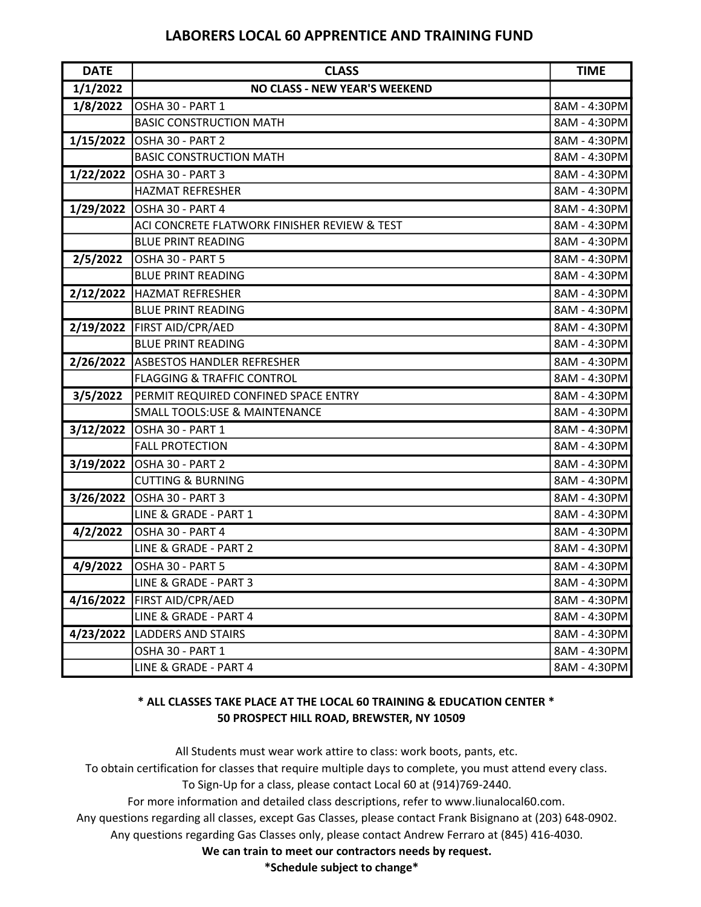## LABORERS LOCAL 60 APPRENTICE AND TRAINING FUND

| <b>DATE</b> | <b>CLASS</b>                                 | <b>TIME</b>  |
|-------------|----------------------------------------------|--------------|
| 1/1/2022    | <b>NO CLASS - NEW YEAR'S WEEKEND</b>         |              |
| 1/8/2022    | OSHA 30 - PART 1                             | 8AM - 4:30PM |
|             | <b>BASIC CONSTRUCTION MATH</b>               | 8AM - 4:30PM |
|             | 1/15/2022 OSHA 30 - PART 2                   | 8AM - 4:30PM |
|             | <b>BASIC CONSTRUCTION MATH</b>               | 8AM - 4:30PM |
|             | 1/22/2022 OSHA 30 - PART 3                   | 8AM - 4:30PM |
|             | <b>HAZMAT REFRESHER</b>                      | 8AM - 4:30PM |
|             | 1/29/2022 OSHA 30 - PART 4                   | 8AM - 4:30PM |
|             | ACI CONCRETE FLATWORK FINISHER REVIEW & TEST | 8AM - 4:30PM |
|             | <b>BLUE PRINT READING</b>                    | 8AM - 4:30PM |
| 2/5/2022    | OSHA 30 - PART 5                             | 8AM - 4:30PM |
|             | <b>BLUE PRINT READING</b>                    | 8AM - 4:30PM |
|             | 2/12/2022 HAZMAT REFRESHER                   | 8AM - 4:30PM |
|             | <b>BLUE PRINT READING</b>                    | 8AM - 4:30PM |
|             | 2/19/2022   FIRST AID/CPR/AED                | 8AM - 4:30PM |
|             | <b>BLUE PRINT READING</b>                    | 8AM - 4:30PM |
|             | 2/26/2022 ASBESTOS HANDLER REFRESHER         | 8AM - 4:30PM |
|             | <b>FLAGGING &amp; TRAFFIC CONTROL</b>        | 8AM - 4:30PM |
| 3/5/2022    | PERMIT REQUIRED CONFINED SPACE ENTRY         | 8AM - 4:30PM |
|             | <b>SMALL TOOLS:USE &amp; MAINTENANCE</b>     | 8AM - 4:30PM |
| 3/12/2022   | OSHA 30 - PART 1                             | 8AM - 4:30PM |
|             | <b>FALL PROTECTION</b>                       | 8AM - 4:30PM |
|             | 3/19/2022 OSHA 30 - PART 2                   | 8AM - 4:30PM |
|             | <b>CUTTING &amp; BURNING</b>                 | 8AM - 4:30PM |
|             | 3/26/2022 OSHA 30 - PART 3                   | 8AM - 4:30PM |
|             | LINE & GRADE - PART 1                        | 8AM - 4:30PM |
| 4/2/2022    | OSHA 30 - PART 4                             | 8AM - 4:30PM |
|             | LINE & GRADE - PART 2                        | 8AM - 4:30PM |
| 4/9/2022    | OSHA 30 - PART 5                             | 8AM - 4:30PM |
|             | LINE & GRADE - PART 3                        | 8AM - 4:30PM |
| 4/16/2022   | FIRST AID/CPR/AED                            | 8AM - 4:30PM |
|             | LINE & GRADE - PART 4                        | 8AM - 4:30PM |
| 4/23/2022   | <b>LADDERS AND STAIRS</b>                    | 8AM - 4:30PM |
|             | OSHA 30 - PART 1                             | 8AM - 4:30PM |
|             | LINE & GRADE - PART 4                        | 8AM - 4:30PM |

#### 50 PROSPECT HILL ROAD, BREWSTER, NY 10509 \* ALL CLASSES TAKE PLACE AT THE LOCAL 60 TRAINING & EDUCATION CENTER \*

All Students must wear work attire to class: work boots, pants, etc. To obtain certification for classes that require multiple days to complete, you must attend every class. To Sign-Up for a class, please contact Local 60 at (914)769-2440. For more information and detailed class descriptions, refer to www.liunalocal60.com.

Any questions regarding all classes, except Gas Classes, please contact Frank Bisignano at (203) 648-0902.

Any questions regarding Gas Classes only, please contact Andrew Ferraro at (845) 416-4030.

We can train to meet our contractors needs by request.

\*Schedule subject to change\*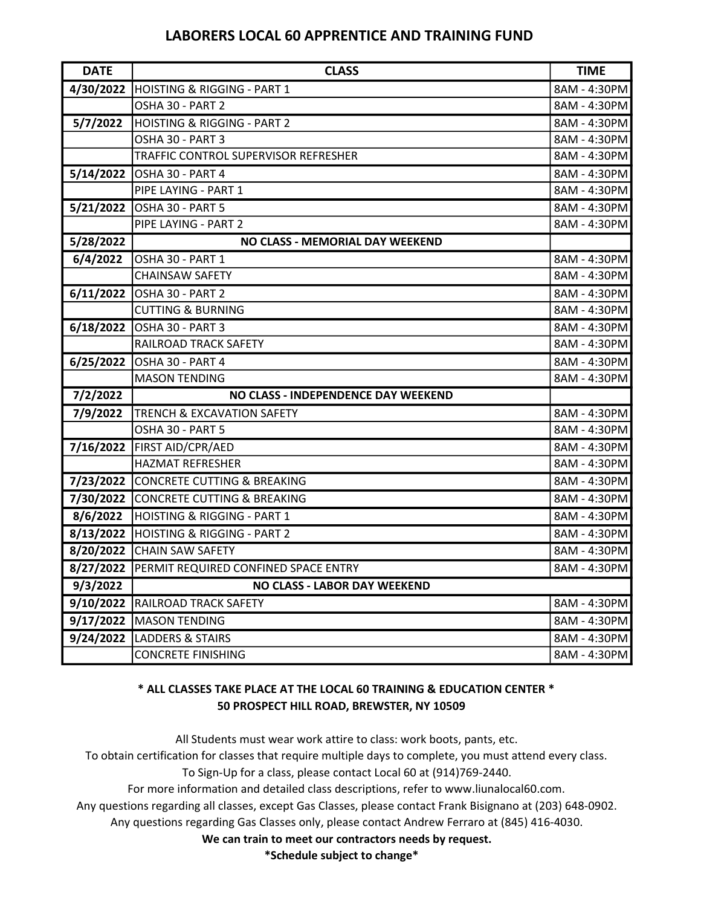# LABORERS LOCAL 60 APPRENTICE AND TRAINING FUND

| <b>DATE</b>            | <b>CLASS</b>                                   | <b>TIME</b>  |
|------------------------|------------------------------------------------|--------------|
| 4/30/2022              | <b>HOISTING &amp; RIGGING - PART 1</b>         | 8AM - 4:30PM |
|                        | OSHA 30 - PART 2                               | 8AM - 4:30PM |
| 5/7/2022               | <b>HOISTING &amp; RIGGING - PART 2</b>         | 8AM - 4:30PM |
|                        | OSHA 30 - PART 3                               | 8AM - 4:30PM |
|                        | TRAFFIC CONTROL SUPERVISOR REFRESHER           | 8AM - 4:30PM |
|                        | 5/14/2022 OSHA 30 - PART 4                     | 8AM - 4:30PM |
|                        | PIPE LAYING - PART 1                           | 8AM - 4:30PM |
|                        | 5/21/2022 OSHA 30 - PART 5                     | 8AM - 4:30PM |
|                        | PIPE LAYING - PART 2                           | 8AM - 4:30PM |
| $\overline{5}/28/2022$ | NO CLASS - MEMORIAL DAY WEEKEND                |              |
| 6/4/2022               | OSHA 30 - PART 1                               | 8AM - 4:30PM |
|                        | <b>CHAINSAW SAFETY</b>                         | 8AM - 4:30PM |
|                        | 6/11/2022 OSHA 30 - PART 2                     | 8AM - 4:30PM |
|                        | <b>CUTTING &amp; BURNING</b>                   | 8AM - 4:30PM |
| 6/18/2022              | OSHA 30 - PART 3                               | 8AM - 4:30PM |
|                        | RAILROAD TRACK SAFETY                          | 8AM - 4:30PM |
| 6/25/2022              | OSHA 30 - PART 4                               | 8AM - 4:30PM |
|                        | <b>MASON TENDING</b>                           | 8AM - 4:30PM |
| 7/2/2022               | NO CLASS - INDEPENDENCE DAY WEEKEND            |              |
| 7/9/2022               | <b>TRENCH &amp; EXCAVATION SAFETY</b>          | 8AM - 4:30PM |
|                        | OSHA 30 - PART 5                               | 8AM - 4:30PM |
|                        | 7/16/2022   FIRST AID/CPR/AED                  | 8AM - 4:30PM |
|                        | <b>HAZMAT REFRESHER</b>                        | 8AM - 4:30PM |
|                        | 7/23/2022 CONCRETE CUTTING & BREAKING          | 8AM - 4:30PM |
|                        | 7/30/2022 CONCRETE CUTTING & BREAKING          | 8AM - 4:30PM |
| 8/6/2022               | <b>HOISTING &amp; RIGGING - PART 1</b>         | 8AM - 4:30PM |
|                        | 8/13/2022 HOISTING & RIGGING - PART 2          | 8AM - 4:30PM |
|                        | 8/20/2022 CHAIN SAW SAFETY                     | 8AM - 4:30PM |
|                        | 8/27/2022 PERMIT REQUIRED CONFINED SPACE ENTRY | 8AM - 4:30PM |
| 9/3/2022               | <b>NO CLASS - LABOR DAY WEEKEND</b>            |              |
| 9/10/2022              | <b>RAILROAD TRACK SAFETY</b>                   | 8AM - 4:30PM |
| 9/17/2022              | MASON TENDING                                  | 8AM - 4:30PM |
| 9/24/2022              | <b>LADDERS &amp; STAIRS</b>                    | 8AM - 4:30PM |
|                        | <b>CONCRETE FINISHING</b>                      | 8AM - 4:30PM |

#### 50 PROSPECT HILL ROAD, BREWSTER, NY 10509 \* ALL CLASSES TAKE PLACE AT THE LOCAL 60 TRAINING & EDUCATION CENTER \*

All Students must wear work attire to class: work boots, pants, etc.

To obtain certification for classes that require multiple days to complete, you must attend every class. To Sign-Up for a class, please contact Local 60 at (914)769-2440.

For more information and detailed class descriptions, refer to www.liunalocal60.com.

Any questions regarding all classes, except Gas Classes, please contact Frank Bisignano at (203) 648-0902.

Any questions regarding Gas Classes only, please contact Andrew Ferraro at (845) 416-4030.

We can train to meet our contractors needs by request.

\*Schedule subject to change\*